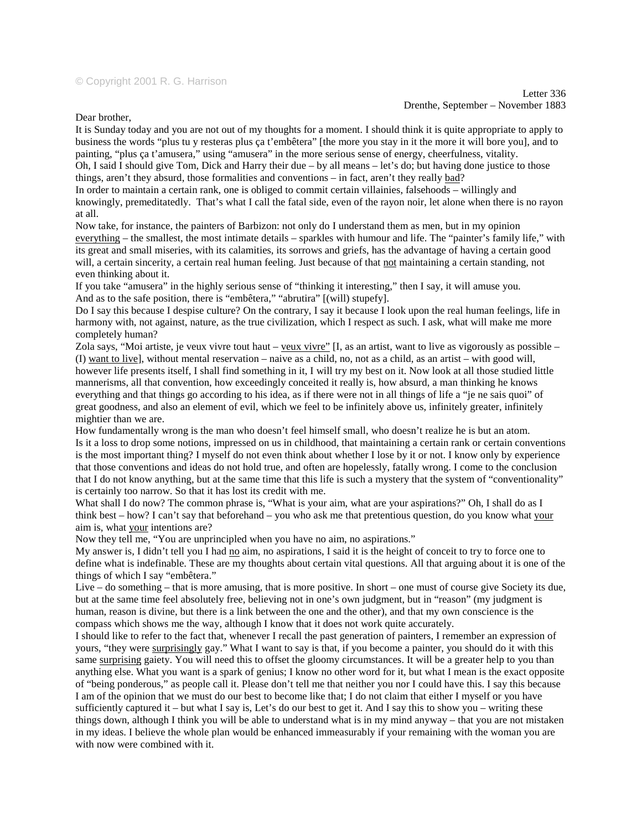## © Copyright 2001 R. G. Harrison

Dear brother,

Letter 336 Drenthe, September – November 1883

It is Sunday today and you are not out of my thoughts for a moment. I should think it is quite appropriate to apply to business the words "plus tu y resteras plus ça t'embêtera" [the more you stay in it the more it will bore you], and to painting, "plus ça t'amusera," using "amusera" in the more serious sense of energy, cheerfulness, vitality. Oh, I said I should give Tom, Dick and Harry their due – by all means – let's do; but having done justice to those things, aren't they absurd, those formalities and conventions – in fact, aren't they really bad?

In order to maintain a certain rank, one is obliged to commit certain villainies, falsehoods – willingly and knowingly, premeditatedly. That's what I call the fatal side, even of the rayon noir, let alone when there is no rayon at all.

Now take, for instance, the painters of Barbizon: not only do I understand them as men, but in my opinion everything *–* the smallest, the most intimate details – sparkles with humour and life. The "painter's family life," with its great and small miseries, with its calamities, its sorrows and griefs, has the advantage of having a certain good will, a certain sincerity, a certain real human feeling. Just because of that not maintaining a certain standing, not even thinking about it.

If you take "amusera" in the highly serious sense of "thinking it interesting," then I say, it will amuse you. And as to the safe position, there is "embêtera," "abrutira" [(will) stupefy].

Do I say this because I despise culture? On the contrary, I say it because I look upon the real human feelings, life in harmony with, not against, nature, as the true civilization, which I respect as such. I ask, what will make me more completely human?

Zola says, "Moi artiste, je veux vivre tout haut – <u>veux vivre"</u> [I, as an artist, want to live as vigorously as possible – (I) want to live], without mental reservation – naive as a child, no, not as a child, as an artist – with good will, however life presents itself, I shall find something in it, I will try my best on it. Now look at all those studied little mannerisms, all that convention, how exceedingly conceited it really is, how absurd, a man thinking he knows everything and that things go according to his idea, as if there were not in all things of life a "je ne sais quoi" of great goodness, and also an element of evil, which we feel to be infinitely above us, infinitely greater, infinitely mightier than we are.

How fundamentally wrong is the man who doesn't feel himself small, who doesn't realize he is but an atom. Is it a loss to drop some notions, impressed on us in childhood, that maintaining a certain rank or certain conventions is the most important thing? I myself do not even think about whether I lose by it or not. I know only by experience that those conventions and ideas do not hold true, and often are hopelessly, fatally wrong. I come to the conclusion that I do not know anything, but at the same time that this life is such a mystery that the system of "conventionality" is certainly too narrow. So that it has lost its credit with me.

What shall I do now? The common phrase is, "What is your aim, what are your aspirations?" Oh, I shall do as I think best – how? I can't say that beforehand – you who ask me that pretentious question, do you know what your aim is, what your intentions are?

Now they tell me, "You are unprincipled when you have no aim, no aspirations."

My answer is, I didn't tell you I had no aim, no aspirations, I said it is the height of conceit to try to force one to define what is indefinable. These are my thoughts about certain vital questions. All that arguing about it is one of the things of which I say "embêtera."

Live – do something – that is more amusing, that is more positive. In short – one must of course give Society its due, but at the same time feel absolutely free, believing not in one's own judgment, but in "reason" (my judgment is human, reason is divine, but there is a link between the one and the other), and that my own conscience is the compass which shows me the way, although I know that it does not work quite accurately.

I should like to refer to the fact that, whenever I recall the past generation of painters, I remember an expression of yours, "they were surprisingly gay." What I want to say is that, if you become a painter, you should do it with this same surprising gaiety. You will need this to offset the gloomy circumstances. It will be a greater help to you than anything else. What you want is a spark of genius; I know no other word for it, but what I mean is the exact opposite of "being ponderous," as people call it. Please don't tell me that neither you nor I could have this. I say this because I am of the opinion that we must do our best to become like that; I do not claim that either I myself or you have sufficiently captured it – but what I say is, Let's do our best to get it. And I say this to show you – writing these things down, although I think you will be able to understand what is in my mind anyway – that you are not mistaken in my ideas. I believe the whole plan would be enhanced immeasurably if your remaining with the woman you are with now were combined with it.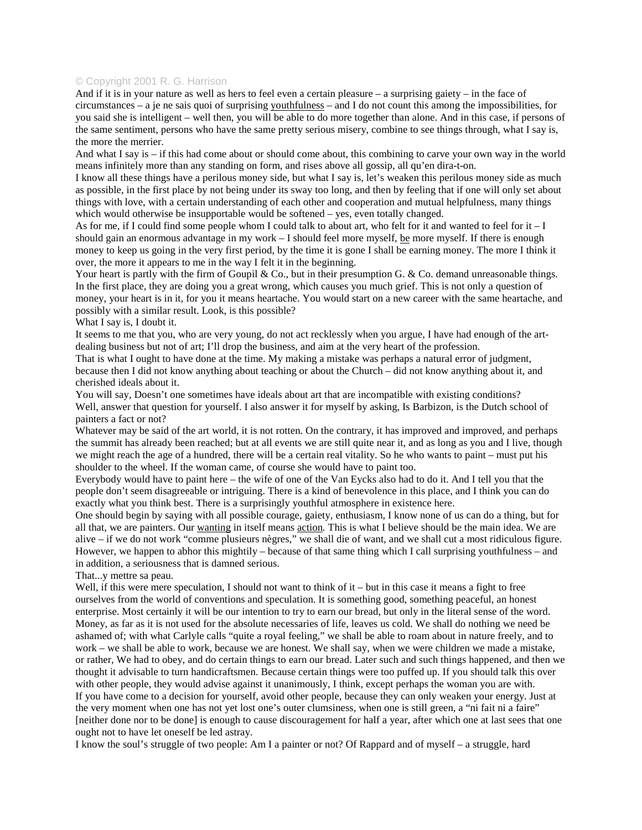## © Copyright 2001 R. G. Harrison

And if it is in your nature as well as hers to feel even a certain pleasure – a surprising gaiety – in the face of circumstances – a je ne sais quoi of surprising youthfulness – and I do not count this among the impossibilities, for you said she is intelligent – well then, you will be able to do more together than alone. And in this case, if persons of the same sentiment, persons who have the same pretty serious misery, combine to see things through, what I say is, the more the merrier.

And what I say is  $-i$  f this had come about or should come about, this combining to carve your own way in the world means infinitely more than any standing on form, and rises above all gossip, all qu'en dira-t-on.

I know all these things have a perilous money side, but what I say is, let's weaken this perilous money side as much as possible, in the first place by not being under its sway too long, and then by feeling that if one will only set about things with love, with a certain understanding of each other and cooperation and mutual helpfulness, many things which would otherwise be insupportable would be softened – yes, even totally changed.

As for me, if I could find some people whom I could talk to about art, who felt for it and wanted to feel for it – I should gain an enormous advantage in my work – I should feel more myself, be more myself. If there is enough money to keep us going in the very first period, by the time it is gone I shall be earning money. The more I think it over, the more it appears to me in the way I felt it in the beginning.

Your heart is partly with the firm of Goupil & Co., but in their presumption G. & Co. demand unreasonable things. In the first place, they are doing you a great wrong, which causes you much grief. This is not only a question of money, your heart is in it, for you it means heartache. You would start on a new career with the same heartache, and possibly with a similar result. Look, is this possible?

What I say is, I doubt it.

It seems to me that you, who are very young, do not act recklessly when you argue, I have had enough of the artdealing business but not of art; I'll drop the business, and aim at the very heart of the profession.

That is what I ought to have done at the time. My making a mistake was perhaps a natural error of judgment, because then I did not know anything about teaching or about the Church – did not know anything about it, and cherished ideals about it.

You will say, Doesn't one sometimes have ideals about art that are incompatible with existing conditions? Well, answer that question for yourself. I also answer it for myself by asking, Is Barbizon, is the Dutch school of painters a fact or not?

Whatever may be said of the art world, it is not rotten. On the contrary, it has improved and improved, and perhaps the summit has already been reached; but at all events we are still quite near it, and as long as you and I live, though we might reach the age of a hundred, there will be a certain real vitality. So he who wants to paint – must put his shoulder to the wheel. If the woman came, of course she would have to paint too.

Everybody would have to paint here – the wife of one of the Van Eycks also had to do it. And I tell you that the people don't seem disagreeable or intriguing. There is a kind of benevolence in this place, and I think you can do exactly what you think best. There is a surprisingly youthful atmosphere in existence here.

One should begin by saying with all possible courage, gaiety, enthusiasm, I know none of us can do a thing, but for all that, we are painters. Our wanting in itself means action*.* This is what I believe should be the main idea. We are alive – if we do not work "comme plusieurs nègres," we shall die of want, and we shall cut a most ridiculous figure. However, we happen to abhor this mightily – because of that same thing which I call surprising youthfulness – and in addition, a seriousness that is damned serious.

That...y mettre sa peau.

Well, if this were mere speculation, I should not want to think of it – but in this case it means a fight to free ourselves from the world of conventions and speculation. It is something good, something peaceful, an honest enterprise. Most certainly it will be our intention to try to earn our bread, but only in the literal sense of the word. Money, as far as it is not used for the absolute necessaries of life, leaves us cold. We shall do nothing we need be ashamed of; with what Carlyle calls "quite a royal feeling," we shall be able to roam about in nature freely, and to work – we shall be able to work, because we are honest. We shall say, when we were children we made a mistake, or rather, We had to obey, and do certain things to earn our bread. Later such and such things happened, and then we thought it advisable to turn handicraftsmen. Because certain things were too puffed up. If you should talk this over with other people, they would advise against it unanimously, I think, except perhaps the woman you are with. If you have come to a decision for yourself, avoid other people, because they can only weaken your energy. Just at the very moment when one has not yet lost one's outer clumsiness, when one is still green, a "ni fait ni a faire" [neither done nor to be done] is enough to cause discouragement for half a year, after which one at last sees that one ought not to have let oneself be led astray.

I know the soul's struggle of two people: Am I a painter or not? Of Rappard and of myself – a struggle, hard